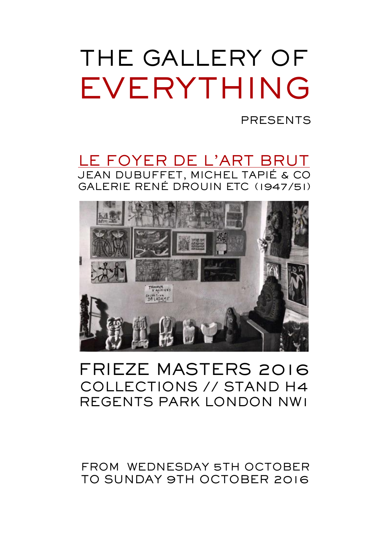PRESENTS

LE FOYER DE L'ART BRUT JEAN DUBUFFET, MICHEL TAPIÉ & CO GALERIE RENÉ DROUIN ETC (1947/51)



# FRIEZE MASTERS 2016 COLLECTIONS // STAND H4 REGENTS PARK LONDON NW1

### FROM WEDNESDAY 5TH OCTOBER TO SUNDAY 9TH OCTOBER 2016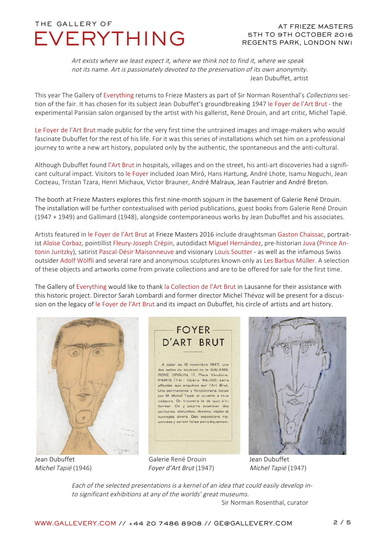#### AT FRIEZE MASTERS 5TH TO 9TH OCTOBER 2016 REGENTS PARK, LONDON NW1

Art exists where we least expect it, where we think not to find it, where we speak not its name. Art is passionately devoted to the preservation of its own anonymity. Jean Dubuffet, artist

This year The Gallery of Everything returns to Frieze Masters as part of Sir Norman Rosenthal's Collections section of the fair. It has chosen for its subject Jean Dubuffet's groundbreaking 1947 le Foyer de l'Art Brut - the experimental Parisian salon organised by the artist with his gallerist, René Drouin, and art critic, Michel Tapié.

Le Foyer de l'Art Brut made public for the very first time the untrained images and image-makers who would fascinate Dubuffet for the rest of his life. For it was this series of installations which set him on a professional journey to write a new art history, populated only by the authentic, the spontaneous and the anti-cultural.

Although Dubuffet found l'Art Brut in hospitals, villages and on the street, his anti-art discoveries had a significant cultural impact. Visitors to le Foyer included Joan Miró, Hans Hartung, André Lhote, Isamu Noguchi, Jean Cocteau, Tristan Tzara, Henri Michaux, Victor Brauner, André Malraux, Jean Fautrier and André Breton.

The booth at Frieze Masters explores this first nine-month sojourn in the basement of Galerie René Drouin. The installation will be further contextualised with period publications, guest books from Galerie René Drouin (1947 + 1949) and Gallimard (1948), alongside contemporaneous works by Jean Dubuffet and his associates.

Artists featured in le Foyer de l'Art Brut at Frieze Masters 2016 include draughtsman Gaston Chaissac, portraitist Aloïse Corbaz, pointillist Fleury-Joseph Crépin, autodidact Miguel Hernández, pre-historian Juva (Prince Antonin Juritzky), satirist Pascal-Désir Maisonneuve and visionary Louis Soutter - as well as the infamous Swiss outsider Adolf Wölfli and several rare and anonymous sculptures known only as Les Barbus Müller. A selection of these objects and artworks come from private collections and are to be offered for sale for the first time.

The Gallery of Everything would like to thank la Collection de l'Art Brut in Lausanne for their assistance with this historic project. Director Sarah Lombardi and former director Michel Thévoz will be present for a discussion on the legacy of le Foyer de l'Art Brut and its impact on Dubuffet, his circle of artists and art history.



### **FOYER** D'ART BRUT

A dater du 15 novembre 1947, une des salles du sous-sol de la GALERIE RENÉ DROUIN, 17. Place Vendôme. PARIS (Tél.: Opéra 94-00), sera affectée aux enquêtes sur l'Art Brut. Une permanence y fonctionnera, tenue par M. Michel Tapié, et ouverte à tous visiteurs. On trouvera là de quoi s'informer. On y pourra examiner des peintures, statuettes, dessins, objets et ouvrages divers. Des expositions raisonnées y seront faites périodiquement.





Each of the selected presentations is a kernel of an idea that could easily develop into significant exhibitions at any of the worlds' great museums.

Sir Norman Rosenthal, curator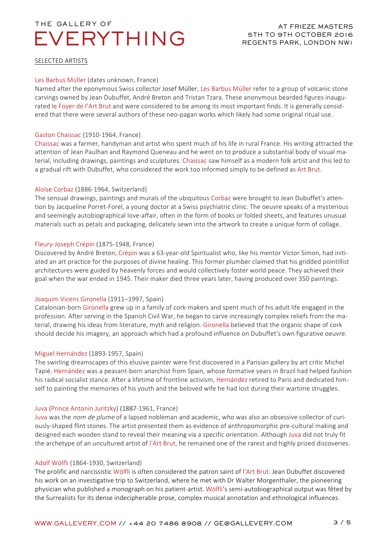#### SELECTED ARTISTS

#### Les Barbus Müller (dates unknown, France)

Named after the eponymous Swiss collector Josef Müller, Les Barbus Müller refer to a group of volcanic stone carvings owned by Jean Dubuffet, André Breton and Tristan Tzara. These anonymous bearded figures inaugurated le Foyer de l'Art Brut and were considered to be among its most important finds. It is generally considered that there were several authors of these neo-pagan works which likely had some original ritual use.

#### Gaston Chaissac (1910-1964, France)

Chaissac was a farmer, handyman and artist who spent much of his life in rural France. His writing attracted the attention of Jean Paulhan and Raymond Queneau and he went on to produce a substantial body of visual material, including drawings, paintings and sculptures. Chaissac saw himself as a modern folk artist and this led to a gradual rift with Dubuffet, who considered the work too informed simply to be defined as Art Brut.

#### Aloïse Corbaz (1886-1964, Switzerland)

The sensual drawings, paintings and murals of the ubiquitous Corbaz were brought to Jean Dubuffet's attention by Jacqueline Porret-Forel, a young doctor at a Swiss psychiatric clinic. The oeuvre speaks of a mysterious and seemingly autobiographical love-affair, often in the form of books or folded sheets, and features unusual materials such as petals and packaging, delicately sewn into the artwork to create a unique form of collage.

#### Fleury-Joseph Crépin (1875-1948, France)

Discovered by André Breton, Crépin was a 63-year-old Spiritualist who, like his mentor Victor Simon, had initiated an art practice for the purposes of divine healing. This former plumber claimed that his gridded pointillist architectures were guided by heavenly forces and would collectively foster world peace. They achieved their goal when the war ended in 1945. Their maker died three years later, having produced over 350 paintings.

#### Joaquim Vicens Gironella (1911–1997, Spain)

Catalonian-born Gironella grew up in a family of cork-makers and spent much of his adult life engaged in the profession. After serving in the Spanish Civil War, he began to carve increasingly complex reliefs from the material, drawing his ideas from literature, myth and religion. Gironella believed that the organic shape of cork should decide his imagery, an approach which had a profound influence on Dubuffet's own figurative oeuvre.

#### Miguel Hernández (1893-1957, Spain)

The swirling dreamscapes of this elusive painter were first discovered in a Parisian gallery by art critic Michel Tapié. Hernández was a peasant-born anarchist from Spain, whose formative years in Brazil had helped fashion his radical socialist stance. After a lifetime of frontline activism, Hernández retired to Paris and dedicated himself to painting the memories of his youth and the beloved wife he had lost during their wartime struggles.

#### Juva (Prince Antonin Juritzky) (1887-1961, France)

Juva was the nom de plume of a lapsed nobleman and academic, who was also an obsessive collector of curiously-shaped flint stones. The artist presented them as evidence of anthropomorphic pre-cultural making and designed each wooden stand to reveal their meaning via a specific orientation. Although Juva did not truly fit the archetype of an uncultured artist of l'Art Brut, he remained one of the rarest and highly prized discoveries.

#### Adolf Wölfli (1864-1930, Switzerland)

The prolific and narcissistic Wölfli is often considered the patron saint of l'Art Brut. Jean Dubuffet discovered his work on an investigative trip to Switzerland, where he met with Dr Walter Morgenthaler, the pioneering physician who published a monograph on his patient-artist. Wölfli's semi-autobiographical output was fêted by the Surrealists for its dense indecipherable prose, complex musical annotation and ethnological influences.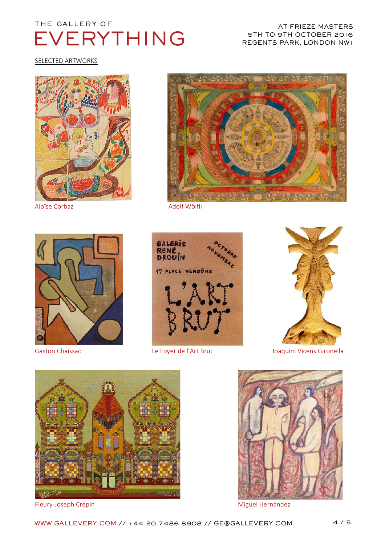#### AT FRIEZE MASTERS 5TH TO 9TH OCTOBER 2016 REGENTS PARK, LONDON NW1

SELECTED ARTWORKS











Gaston Chaissac **Le Foyer de l'Art Brut** Caston Chaissac Chaissac Contract Le Foyer de l'Art Brut Contract Chaise Joaquim Vicens Gironella



Fleury-Joseph Crépin Miguel Hernández